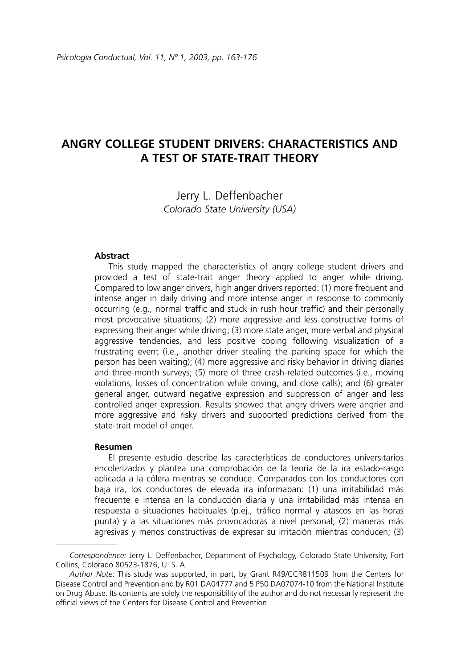# **ANGRY COLLEGE STUDENT DRIVERS: CHARACTERISTICS AND A TEST OF STATE-TRAIT THEORY**

Jerry L. Deffenbacher *Colorado State University (USA)*

#### **Abstract**

This study mapped the characteristics of angry college student drivers and provided a test of state-trait anger theory applied to anger while driving. Compared to low anger drivers, high anger drivers reported: (1) more frequent and intense anger in daily driving and more intense anger in response to commonly occurring (e.g., normal traffic and stuck in rush hour traffic) and their personally most provocative situations; (2) more aggressive and less constructive forms of expressing their anger while driving; (3) more state anger, more verbal and physical aggressive tendencies, and less positive coping following visualization of a frustrating event (i.e., another driver stealing the parking space for which the person has been waiting); (4) more aggressive and risky behavior in driving diaries and three-month surveys; (5) more of three crash-related outcomes (i.e., moving violations, losses of concentration while driving, and close calls); and (6) greater general anger, outward negative expression and suppression of anger and less controlled anger expression. Results showed that angry drivers were angrier and more aggressive and risky drivers and supported predictions derived from the state-trait model of anger.

#### **Resumen**

El presente estudio describe las características de conductores universitarios encolerizados y plantea una comprobación de la teoría de la ira estado-rasgo aplicada a la cólera mientras se conduce. Comparados con los conductores con baja ira, los conductores de elevada ira informaban: (1) una irritabilidad más frecuente e intensa en la conducción diaria y una irritabilidad más intensa en respuesta a situaciones habituales (p.ej., tráfico normal y atascos en las horas punta) y a las situaciones más provocadoras a nivel personal; (2) maneras más agresivas y menos constructivas de expresar su irritación mientras conducen; (3)

*Correspondence:* Jerry L. Deffenbacher, Department of Psychology, Colorado State University, Fort Collins, Colorado 80523-1876, U. S. A.

*Author Note*: This study was supported, in part, by Grant R49/CCR811509 from the Centers for Disease Control and Prevention and by R01 DA04777 and 5 P50 DA07074-10 from the National Institute on Drug Abuse. Its contents are solely the responsibility of the author and do not necessarily represent the official views of the Centers for Disease Control and Prevention.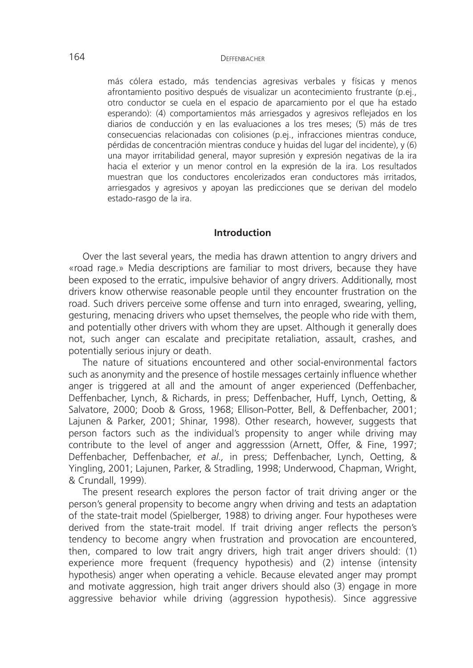más cólera estado, más tendencias agresivas verbales y físicas y menos afrontamiento positivo después de visualizar un acontecimiento frustrante (p.ej., otro conductor se cuela en el espacio de aparcamiento por el que ha estado esperando): (4) comportamientos más arriesgados y agresivos reflejados en los diarios de conducción y en las evaluaciones a los tres meses; (5) más de tres consecuencias relacionadas con colisiones (p.ej., infracciones mientras conduce, pérdidas de concentración mientras conduce y huidas del lugar del incidente), y (6) una mayor irritabilidad general, mayor supresión y expresión negativas de la ira hacia el exterior y un menor control en la expresión de la ira. Los resultados muestran que los conductores encolerizados eran conductores más irritados, arriesgados y agresivos y apoyan las predicciones que se derivan del modelo estado-rasgo de la ira.

#### **Introduction**

Over the last several years, the media has drawn attention to angry drivers and «road rage.» Media descriptions are familiar to most drivers, because they have been exposed to the erratic, impulsive behavior of angry drivers. Additionally, most drivers know otherwise reasonable people until they encounter frustration on the road. Such drivers perceive some offense and turn into enraged, swearing, yelling, gesturing, menacing drivers who upset themselves, the people who ride with them, and potentially other drivers with whom they are upset. Although it generally does not, such anger can escalate and precipitate retaliation, assault, crashes, and potentially serious injury or death.

The nature of situations encountered and other social-environmental factors such as anonymity and the presence of hostile messages certainly influence whether anger is triggered at all and the amount of anger experienced (Deffenbacher, Deffenbacher, Lynch, & Richards, in press; Deffenbacher, Huff, Lynch, Oetting, & Salvatore, 2000; Doob & Gross, 1968; Ellison-Potter, Bell, & Deffenbacher, 2001; Lajunen & Parker, 2001; Shinar, 1998). Other research, however, suggests that person factors such as the individual's propensity to anger while driving may contribute to the level of anger and aggresssion (Arnett, Offer, & Fine, 1997; Deffenbacher, Deffenbacher, *et al.,* in press; Deffenbacher, Lynch, Oetting, & Yingling, 2001; Lajunen, Parker, & Stradling, 1998; Underwood, Chapman, Wright, & Crundall, 1999).

The present research explores the person factor of trait driving anger or the person's general propensity to become angry when driving and tests an adaptation of the state-trait model (Spielberger, 1988) to driving anger. Four hypotheses were derived from the state-trait model. If trait driving anger reflects the person's tendency to become angry when frustration and provocation are encountered, then, compared to low trait angry drivers, high trait anger drivers should: (1) experience more frequent (frequency hypothesis) and (2) intense (intensity hypothesis) anger when operating a vehicle. Because elevated anger may prompt and motivate aggression, high trait anger drivers should also (3) engage in more aggressive behavior while driving (aggression hypothesis). Since aggressive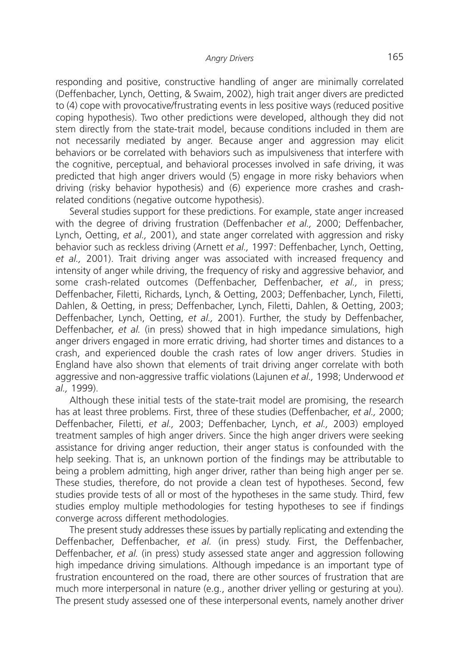responding and positive, constructive handling of anger are minimally correlated (Deffenbacher, Lynch, Oetting, & Swaim, 2002), high trait anger divers are predicted to (4) cope with provocative/frustrating events in less positive ways (reduced positive coping hypothesis). Two other predictions were developed, although they did not stem directly from the state-trait model, because conditions included in them are not necessarily mediated by anger. Because anger and aggression may elicit behaviors or be correlated with behaviors such as impulsiveness that interfere with the cognitive, perceptual, and behavioral processes involved in safe driving, it was predicted that high anger drivers would (5) engage in more risky behaviors when driving (risky behavior hypothesis) and (6) experience more crashes and crashrelated conditions (negative outcome hypothesis).

Several studies support for these predictions. For example, state anger increased with the degree of driving frustration (Deffenbacher *et al.,* 2000; Deffenbacher, Lynch, Oetting, *et al.,* 2001), and state anger correlated with aggression and risky behavior such as reckless driving (Arnett *et al.,* 1997: Deffenbacher, Lynch, Oetting, *et al.,* 2001). Trait driving anger was associated with increased frequency and intensity of anger while driving, the frequency of risky and aggressive behavior, and some crash-related outcomes (Deffenbacher, Deffenbacher, *et al.,* in press; Deffenbacher, Filetti, Richards, Lynch, & Oetting, 2003; Deffenbacher, Lynch, Filetti, Dahlen, & Oetting, in press; Deffenbacher, Lynch, Filetti, Dahlen, & Oetting, 2003; Deffenbacher, Lynch, Oetting, *et al.,* 2001). Further, the study by Deffenbacher, Deffenbacher, *et al.* (in press) showed that in high impedance simulations, high anger drivers engaged in more erratic driving, had shorter times and distances to a crash, and experienced double the crash rates of low anger drivers. Studies in England have also shown that elements of trait driving anger correlate with both aggressive and non-aggressive traffic violations (Lajunen *et al.,* 1998; Underwood *et al.,* 1999).

Although these initial tests of the state-trait model are promising, the research has at least three problems. First, three of these studies (Deffenbacher, *et al.,* 2000; Deffenbacher, Filetti, *et al.,* 2003; Deffenbacher, Lynch, *et al.,* 2003) employed treatment samples of high anger drivers. Since the high anger drivers were seeking assistance for driving anger reduction, their anger status is confounded with the help seeking. That is, an unknown portion of the findings may be attributable to being a problem admitting, high anger driver, rather than being high anger per se. These studies, therefore, do not provide a clean test of hypotheses. Second, few studies provide tests of all or most of the hypotheses in the same study. Third, few studies employ multiple methodologies for testing hypotheses to see if findings converge across different methodologies.

The present study addresses these issues by partially replicating and extending the Deffenbacher, Deffenbacher, *et al.* (in press) study. First, the Deffenbacher, Deffenbacher, *et al.* (in press) study assessed state anger and aggression following high impedance driving simulations. Although impedance is an important type of frustration encountered on the road, there are other sources of frustration that are much more interpersonal in nature (e.g., another driver yelling or gesturing at you). The present study assessed one of these interpersonal events, namely another driver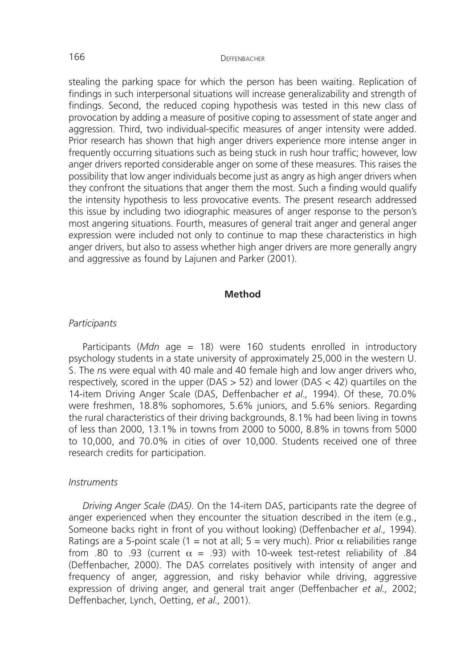stealing the parking space for which the person has been waiting. Replication of findings in such interpersonal situations will increase generalizability and strength of findings. Second, the reduced coping hypothesis was tested in this new class of provocation by adding a measure of positive coping to assessment of state anger and aggression. Third, two individual-specific measures of anger intensity were added. Prior research has shown that high anger drivers experience more intense anger in frequently occurring situations such as being stuck in rush hour traffic; however, low anger drivers reported considerable anger on some of these measures. This raises the possibility that low anger individuals become just as angry as high anger drivers when they confront the situations that anger them the most. Such a finding would qualify the intensity hypothesis to less provocative events. The present research addressed this issue by including two idiographic measures of anger response to the person's most angering situations. Fourth, measures of general trait anger and general anger expression were included not only to continue to map these characteristics in high anger drivers, but also to assess whether high anger drivers are more generally angry and aggressive as found by Lajunen and Parker (2001).

#### **Method**

#### *Participants*

Participants (*Mdn* age = 18) were 160 students enrolled in introductory psychology students in a state university of approximately 25,000 in the western U. S. The *n*s were equal with 40 male and 40 female high and low anger drivers who, respectively, scored in the upper ( $DAS > 52$ ) and lower ( $DAS < 42$ ) quartiles on the 14-item Driving Anger Scale (DAS, Deffenbacher *et al.,* 1994). Of these, 70.0% were freshmen, 18.8% sophomores, 5.6% juniors, and 5.6% seniors. Regarding the rural characteristics of their driving backgrounds, 8.1% had been living in towns of less than 2000, 13.1% in towns from 2000 to 5000, 8.8% in towns from 5000 to 10,000, and 70.0% in cities of over 10,000. Students received one of three research credits for participation.

#### *Instruments*

*Driving Anger Scale (DAS)*. On the 14-item DAS, participants rate the degree of anger experienced when they encounter the situation described in the item (e.g., Someone backs right in front of you without looking) (Deffenbacher *et al.,* 1994). Ratings are a 5-point scale (1 = not at all; 5 = very much). Prior  $\alpha$  reliabilities range from .80 to .93 (current  $\alpha$  = .93) with 10-week test-retest reliability of .84 (Deffenbacher, 2000). The DAS correlates positively with intensity of anger and frequency of anger, aggression, and risky behavior while driving, aggressive expression of driving anger, and general trait anger (Deffenbacher *et al.,* 2002; Deffenbacher, Lynch, Oetting, *et al.,* 2001).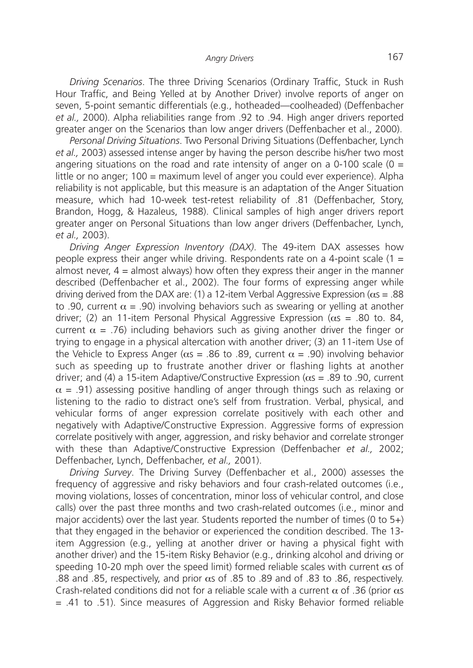*Driving Scenarios*. The three Driving Scenarios (Ordinary Traffic, Stuck in Rush Hour Traffic, and Being Yelled at by Another Driver) involve reports of anger on seven, 5-point semantic differentials (e.g., hotheaded—coolheaded) (Deffenbacher *et al.,* 2000). Alpha reliabilities range from .92 to .94. High anger drivers reported greater anger on the Scenarios than low anger drivers (Deffenbacher et al., 2000).

*Personal Driving Situations*. Two Personal Driving Situations (Deffenbacher, Lynch *et al.,* 2003) assessed intense anger by having the person describe his/her two most angering situations on the road and rate intensity of anger on a 0-100 scale ( $0 =$ little or no anger; 100 = maximum level of anger you could ever experience). Alpha reliability is not applicable, but this measure is an adaptation of the Anger Situation measure, which had 10-week test-retest reliability of .81 (Deffenbacher, Story, Brandon, Hogg, & Hazaleus, 1988). Clinical samples of high anger drivers report greater anger on Personal Situations than low anger drivers (Deffenbacher, Lynch, *et al.,* 2003).

*Driving Anger Expression Inventory (DAX)*. The 49-item DAX assesses how people express their anger while driving. Respondents rate on a 4-point scale (1 = almost never,  $4 =$  almost always) how often they express their anger in the manner described (Deffenbacher et al., 2002). The four forms of expressing anger while driving derived from the DAX are: (1) a 12-item Verbal Aggressive Expression ( $\alpha s = .88$ ) to .90, current  $\alpha$  = .90) involving behaviors such as swearing or yelling at another driver; (2) an 11-item Personal Physical Aggressive Expression ( $\alpha$ s = .80 to. 84, current  $\alpha$  = .76) including behaviors such as giving another driver the finger or trying to engage in a physical altercation with another driver; (3) an 11-item Use of the Vehicle to Express Anger ( $\alpha s = .86$  to .89, current  $\alpha = .90$ ) involving behavior such as speeding up to frustrate another driver or flashing lights at another driver; and (4) a 15-item Adaptive/Constructive Expression ( $\alpha s = .89$  to .90, current  $\alpha$  = .91) assessing positive handling of anger through things such as relaxing or listening to the radio to distract one's self from frustration. Verbal, physical, and vehicular forms of anger expression correlate positively with each other and negatively with Adaptive/Constructive Expression. Aggressive forms of expression correlate positively with anger, aggression, and risky behavior and correlate stronger with these than Adaptive/Constructive Expression (Deffenbacher *et al.,* 2002; Deffenbacher, Lynch, Deffenbacher, *et al.,* 2001).

*Driving Survey*. The Driving Survey (Deffenbacher et al., 2000) assesses the frequency of aggressive and risky behaviors and four crash-related outcomes (i.e., moving violations, losses of concentration, minor loss of vehicular control, and close calls) over the past three months and two crash-related outcomes (i.e., minor and major accidents) over the last year. Students reported the number of times (0 to 5+) that they engaged in the behavior or experienced the condition described. The 13 item Aggression (e.g., yelling at another driver or having a physical fight with another driver) and the 15-item Risky Behavior (e.g., drinking alcohol and driving or speeding 10-20 mph over the speed limit) formed reliable scales with current  $\alpha s$  of .88 and .85, respectively, and prior  $\alpha$ s of .85 to .89 and of .83 to .86, respectively. Crash-related conditions did not for a reliable scale with a current  $\alpha$  of .36 (prior  $\alpha$ s = .41 to .51). Since measures of Aggression and Risky Behavior formed reliable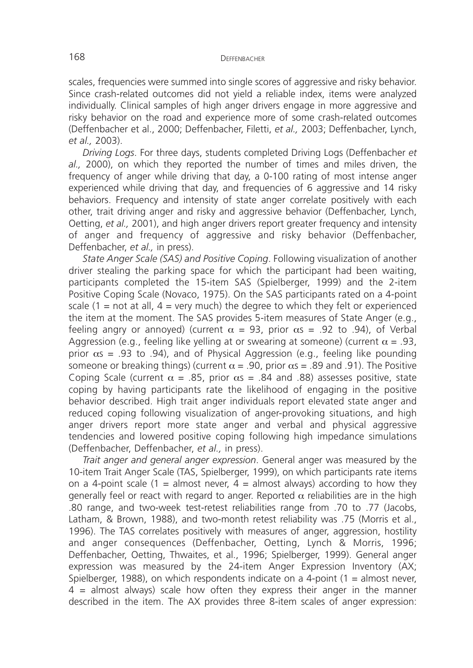scales, frequencies were summed into single scores of aggressive and risky behavior. Since crash-related outcomes did not yield a reliable index, items were analyzed individually. Clinical samples of high anger drivers engage in more aggressive and risky behavior on the road and experience more of some crash-related outcomes (Deffenbacher et al., 2000; Deffenbacher, Filetti, *et al.,* 2003; Deffenbacher, Lynch, *et al.,* 2003).

*Driving Logs*. For three days, students completed Driving Logs (Deffenbacher *et al.,* 2000), on which they reported the number of times and miles driven, the frequency of anger while driving that day, a 0-100 rating of most intense anger experienced while driving that day, and frequencies of 6 aggressive and 14 risky behaviors. Frequency and intensity of state anger correlate positively with each other, trait driving anger and risky and aggressive behavior (Deffenbacher, Lynch, Oetting, *et al.,* 2001), and high anger drivers report greater frequency and intensity of anger and frequency of aggressive and risky behavior (Deffenbacher, Deffenbacher, *et al.,* in press).

*State Anger Scale (SAS) and Positive Coping*. Following visualization of another driver stealing the parking space for which the participant had been waiting, participants completed the 15-item SAS (Spielberger, 1999) and the 2-item Positive Coping Scale (Novaco, 1975). On the SAS participants rated on a 4-point scale (1 = not at all,  $4$  = very much) the degree to which they felt or experienced the item at the moment. The SAS provides 5-item measures of State Anger (e.g., feeling angry or annoyed) (current  $\alpha = 93$ , prior  $\alpha s = .92$  to .94), of Verbal Aggression (e.g., feeling like yelling at or swearing at someone) (current  $\alpha = .93$ , prior  $\alpha s = .93$  to .94), and of Physical Aggression (e.g., feeling like pounding someone or breaking things) (current  $\alpha$  = .90, prior  $\alpha$ s = .89 and .91). The Positive Coping Scale (current  $\alpha = .85$ , prior  $\alpha s = .84$  and .88) assesses positive, state coping by having participants rate the likelihood of engaging in the positive behavior described. High trait anger individuals report elevated state anger and reduced coping following visualization of anger-provoking situations, and high anger drivers report more state anger and verbal and physical aggressive tendencies and lowered positive coping following high impedance simulations (Deffenbacher, Deffenbacher, *et al.,* in press).

*Trait anger and general anger expression*. General anger was measured by the 10-item Trait Anger Scale (TAS, Spielberger, 1999), on which participants rate items on a 4-point scale (1 = almost never,  $4$  = almost always) according to how they generally feel or react with regard to anger. Reported  $\alpha$  reliabilities are in the high .80 range, and two-week test-retest reliabilities range from .70 to .77 (Jacobs, Latham, & Brown, 1988), and two-month retest reliability was .75 (Morris et al., 1996). The TAS correlates positively with measures of anger, aggression, hostility and anger consequences (Deffenbacher, Oetting, Lynch & Morris, 1996; Deffenbacher, Oetting, Thwaites, et al., 1996; Spielberger, 1999). General anger expression was measured by the 24-item Anger Expression Inventory (AX; Spielberger, 1988), on which respondents indicate on a 4-point (1 = almost never,  $4$  = almost always) scale how often they express their anger in the manner described in the item. The AX provides three 8-item scales of anger expression: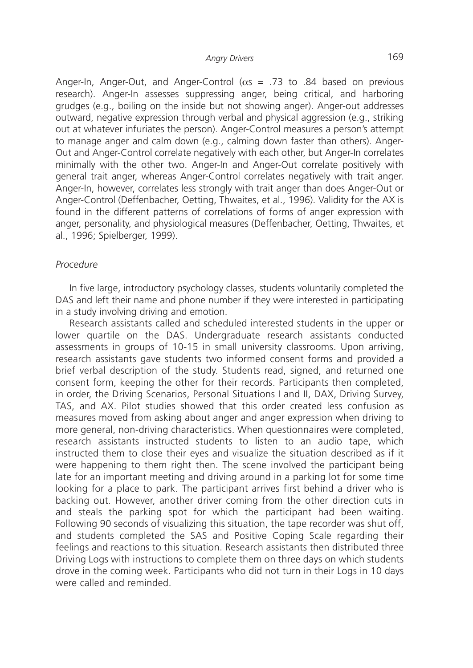Anger-In, Anger-Out, and Anger-Control ( $\alpha s = .73$  to .84 based on previous research). Anger-In assesses suppressing anger, being critical, and harboring grudges (e.g., boiling on the inside but not showing anger). Anger-out addresses outward, negative expression through verbal and physical aggression (e.g., striking out at whatever infuriates the person). Anger-Control measures a person's attempt to manage anger and calm down (e.g., calming down faster than others). Anger-Out and Anger-Control correlate negatively with each other, but Anger-In correlates minimally with the other two. Anger-In and Anger-Out correlate positively with general trait anger, whereas Anger-Control correlates negatively with trait anger. Anger-In, however, correlates less strongly with trait anger than does Anger-Out or Anger-Control (Deffenbacher, Oetting, Thwaites, et al., 1996). Validity for the AX is found in the different patterns of correlations of forms of anger expression with anger, personality, and physiological measures (Deffenbacher, Oetting, Thwaites, et al., 1996; Spielberger, 1999).

#### *Procedure*

In five large, introductory psychology classes, students voluntarily completed the DAS and left their name and phone number if they were interested in participating in a study involving driving and emotion.

Research assistants called and scheduled interested students in the upper or lower quartile on the DAS. Undergraduate research assistants conducted assessments in groups of 10-15 in small university classrooms. Upon arriving, research assistants gave students two informed consent forms and provided a brief verbal description of the study. Students read, signed, and returned one consent form, keeping the other for their records. Participants then completed, in order, the Driving Scenarios, Personal Situations I and II, DAX, Driving Survey, TAS, and AX. Pilot studies showed that this order created less confusion as measures moved from asking about anger and anger expression when driving to more general, non-driving characteristics. When questionnaires were completed, research assistants instructed students to listen to an audio tape, which instructed them to close their eyes and visualize the situation described as if it were happening to them right then. The scene involved the participant being late for an important meeting and driving around in a parking lot for some time looking for a place to park. The participant arrives first behind a driver who is backing out. However, another driver coming from the other direction cuts in and steals the parking spot for which the participant had been waiting. Following 90 seconds of visualizing this situation, the tape recorder was shut off, and students completed the SAS and Positive Coping Scale regarding their feelings and reactions to this situation. Research assistants then distributed three Driving Logs with instructions to complete them on three days on which students drove in the coming week. Participants who did not turn in their Logs in 10 days were called and reminded.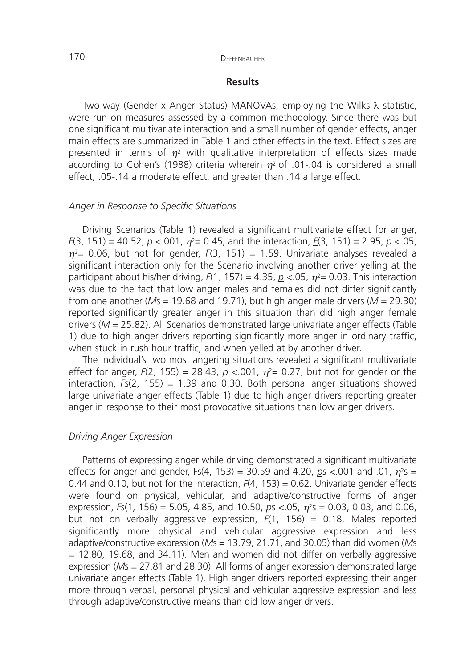### **Results**

Two-way (Gender x Anger Status) MANOVAs, employing the Wilks λ statistic, were run on measures assessed by a common methodology. Since there was but one significant multivariate interaction and a small number of gender effects, anger main effects are summarized in Table 1 and other effects in the text. Effect sizes are presented in terms of  $\eta^2$  with qualitative interpretation of effects sizes made according to Cohen's (1988) criteria wherein  $\eta^2$  of .01-.04 is considered a small effect, .05-.14 a moderate effect, and greater than .14 a large effect.

# *Anger in Response to Specific Situations*

Driving Scenarios (Table 1) revealed a significant multivariate effect for anger,  $F(3, 151) = 40.52$ ,  $p < .001$ ,  $\eta^2 = 0.45$ , and the interaction,  $F(3, 151) = 2.95$ ,  $p < .05$ ,  $\eta^2$ = 0.06, but not for gender,  $F(3, 151)$  = 1.59. Univariate analyses revealed a significant interaction only for the Scenario involving another driver yelling at the participant about his/her driving,  $F(1, 157) = 4.35$ ,  $p \lt 0.05$ ,  $\eta^2 = 0.03$ . This interaction was due to the fact that low anger males and females did not differ significantly from one another ( $M_s = 19.68$  and 19.71), but high anger male drivers ( $M = 29.30$ ) reported significantly greater anger in this situation than did high anger female drivers (*M* = 25.82). All Scenarios demonstrated large univariate anger effects (Table 1) due to high anger drivers reporting significantly more anger in ordinary traffic, when stuck in rush hour traffic, and when yelled at by another driver.

The individual's two most angering situations revealed a significant multivariate effect for anger,  $F(2, 155) = 28.43$ ,  $p < .001$ ,  $p^2 = 0.27$ , but not for gender or the interaction, *F*s(2, 155) = 1.39 and 0.30. Both personal anger situations showed large univariate anger effects (Table 1) due to high anger drivers reporting greater anger in response to their most provocative situations than low anger drivers.

#### *Driving Anger Expression*

Patterns of expressing anger while driving demonstrated a significant multivariate effects for anger and gender, Fs(4, 153) = 30.59 and 4.20,  $p_s < 0.01$  and .01,  $\eta^2 s =$ 0.44 and 0.10, but not for the interaction,  $F(4, 153) = 0.62$ . Univariate gender effects were found on physical, vehicular, and adaptive/constructive forms of anger expression,  $F_s(1, 156) = 5.05, 4.85,$  and  $10.50,$   $ps < .05,$   $n<sup>2</sup>s = 0.03, 0.03,$  and 0.06, but not on verbally aggressive expression, *F*(1, 156) = 0.18. Males reported significantly more physical and vehicular aggressive expression and less adaptive/constructive expression (*M*s = 13.79, 21.71, and 30.05) than did women (*M*s  $= 12.80$ , 19.68, and 34.11). Men and women did not differ on verbally aggressive expression (*M*s = 27.81 and 28.30). All forms of anger expression demonstrated large univariate anger effects (Table 1). High anger drivers reported expressing their anger more through verbal, personal physical and vehicular aggressive expression and less through adaptive/constructive means than did low anger drivers.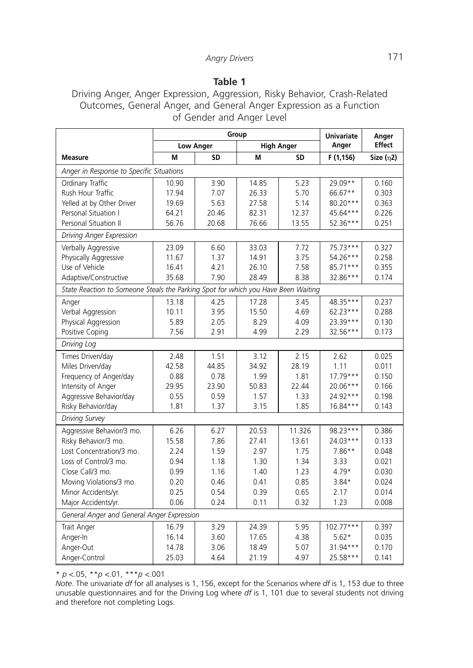# **Table 1**

Driving Anger, Anger Expression, Aggression, Risky Behavior, Crash-Related Outcomes, General Anger, and General Anger Expression as a Function of Gender and Anger Level

|                                                                                   | Group            |           |                   |           | <b>Univariate</b> | Anger         |
|-----------------------------------------------------------------------------------|------------------|-----------|-------------------|-----------|-------------------|---------------|
|                                                                                   | <b>Low Anger</b> |           | <b>High Anger</b> |           | Anger             | <b>Effect</b> |
| <b>Measure</b>                                                                    | M                | <b>SD</b> | M                 | <b>SD</b> | F (1,156)         | Size $(n2)$   |
| Anger in Response to Specific Situations                                          |                  |           |                   |           |                   |               |
| Ordinary Traffic                                                                  | 10.90            | 3.90      | 14.85             | 5.23      | 29.09**           | 0.160         |
| Rush Hour Traffic                                                                 | 17.94            | 7.07      | 26.33             | 5.70      | 66.67**           | 0.303         |
| Yelled at by Other Driver                                                         | 19.69            | 5.63      | 27.58             | 5.14      | 80.20***          | 0.363         |
| Personal Situation I                                                              | 64.21            | 20.46     | 82.31             | 12.37     | 45.64***          | 0.226         |
| Personal Situation II                                                             | 56.76            | 20.68     | 76.66             | 13.55     | 52.36***          | 0.251         |
| Driving Anger Expression                                                          |                  |           |                   |           |                   |               |
| Verbally Aggressive                                                               | 23.09            | 6.60      | 33.03             | 7.72      | 75.73***          | 0.327         |
| Physically Aggressive                                                             | 11.67            | 1.37      | 14.91             | 3.75      | 54.26***          | 0.258         |
| Use of Vehicle                                                                    | 16.41            | 4.21      | 26.10             | 7.58      | 85.71***          | 0.355         |
| Adaptive/Constructive                                                             | 35.68            | 7.90      | 28.49             | 8.38      | 32.86***          | 0.174         |
| State Reaction to Someone Steals the Parking Spot for which you Have Been Waiting |                  |           |                   |           |                   |               |
| Anger                                                                             | 13.18            | 4.25      | 17.28             | 3.45      | 48.35***          | 0.237         |
| Verbal Aggression                                                                 | 10.11            | 3.95      | 15.50             | 4.69      | 62.23***          | 0.288         |
| Physical Aggression                                                               | 5.89             | 2.05      | 8.29              | 4.09      | 23.39***          | 0.130         |
| Positive Coping                                                                   | 7.56             | 2.91      | 4.99              | 2.29      | 32.56***          | 0.173         |
| Driving Log                                                                       |                  |           |                   |           |                   |               |
| Times Driven/day                                                                  | 2.48             | 1.51      | 3.12              | 2.15      | 2.62              | 0.025         |
| Miles Driven/day                                                                  | 42.58            | 44.85     | 34.92             | 28.19     | 1.11              | 0.011         |
| Frequency of Anger/day                                                            | 0.88             | 0.78      | 1.99              | 1.81      | $17.79***$        | 0.150         |
| Intensity of Anger                                                                | 29.95            | 23.90     | 50.83             | 22.44     | 20.06***          | 0.166         |
| Aggressive Behavior/day                                                           | 0.55             | 0.59      | 1.57              | 1.33      | 24.92***          | 0.198         |
| Risky Behavior/day                                                                | 1.81             | 1.37      | 3.15              | 1.85      | 16.84***          | 0.143         |
| <b>Driving Survey</b>                                                             |                  |           |                   |           |                   |               |
| Aggressive Behavior/3 mo.                                                         | 6.26             | 6.27      | 20.53             | 11.326    | 98.23***          | 0.386         |
| Risky Behavior/3 mo.                                                              | 15.58            | 7.86      | 27.41             | 13.61     | 24.03***          | 0.133         |
| Lost Concentration/3 mo.                                                          | 2.24             | 1.59      | 2.97              | 1.75      | $7.86**$          | 0.048         |
| Loss of Control/3 mo.                                                             | 0.94             | 1.18      | 1.30              | 1.34      | 3.33              | 0.021         |
| Close Call/3 mo.                                                                  | 0.99             | 1.16      | 1.40              | 1.23      | $4.79*$           | 0.030         |
| Moving Violations/3 mo.                                                           | 0.20             | 0.46      | 0.41              | 0.85      | $3.84*$           | 0.024         |
| Minor Accidents/yr.                                                               | 0.25             | 0.54      | 0.39              | 0.65      | 2.17              | 0.014         |
| Major Accidents/yr.                                                               | 0.06             | 0.24      | 0.11              | 0.32      | 1.23              | 0.008         |
| General Anger and General Anger Expression                                        |                  |           |                   |           |                   |               |
| Trait Anger                                                                       | 16.79            | 3.29      | 24.39             | 5.95      | $102.77***$       | 0.397         |
| Anger-In                                                                          | 16.14            | 3.60      | 17.65             | 4.38      | $5.62*$           | 0.035         |
| Anger-Out                                                                         | 14.78            | 3.06      | 18.49             | 5.07      | 31.94***          | 0.170         |
| Anger-Control                                                                     | 25.03            | 4.64      | 21.19             | 4.97      | 25.58***          | 0.141         |

\* *p* <.05, \*\**p* <.01, \*\*\**p* <.001

*Note*. The univariate *df* for all analyses is 1, 156, except for the Scenarios where *df* is 1, 153 due to three unusable questionnaires and for the Driving Log where *df* is 1, 101 due to several students not driving and therefore not completing Logs.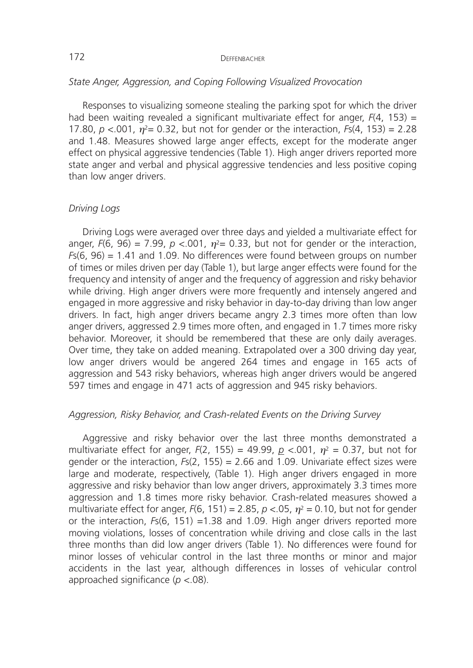### *State Anger, Aggression, and Coping Following Visualized Provocation*

Responses to visualizing someone stealing the parking spot for which the driver had been waiting revealed a significant multivariate effect for anger, *F*(4, 153) = 17.80,  $p < 0.001$ ,  $\eta^2 = 0.32$ , but not for gender or the interaction,  $Fs(4, 153) = 2.28$ and 1.48. Measures showed large anger effects, except for the moderate anger effect on physical aggressive tendencies (Table 1). High anger drivers reported more state anger and verbal and physical aggressive tendencies and less positive coping than low anger drivers.

## *Driving Logs*

Driving Logs were averaged over three days and yielded a multivariate effect for anger,  $F(6, 96) = 7.99$ ,  $p < .001$ ,  $\eta^2 = 0.33$ , but not for gender or the interaction, *F*s(6, 96) = 1.41 and 1.09. No differences were found between groups on number of times or miles driven per day (Table 1), but large anger effects were found for the frequency and intensity of anger and the frequency of aggression and risky behavior while driving. High anger drivers were more frequently and intensely angered and engaged in more aggressive and risky behavior in day-to-day driving than low anger drivers. In fact, high anger drivers became angry 2.3 times more often than low anger drivers, aggressed 2.9 times more often, and engaged in 1.7 times more risky behavior. Moreover, it should be remembered that these are only daily averages. Over time, they take on added meaning. Extrapolated over a 300 driving day year, low anger drivers would be angered 264 times and engage in 165 acts of aggression and 543 risky behaviors, whereas high anger drivers would be angered 597 times and engage in 471 acts of aggression and 945 risky behaviors.

#### *Aggression, Risky Behavior, and Crash-related Events on the Driving Survey*

Aggressive and risky behavior over the last three months demonstrated a multivariate effect for anger,  $F(2, 155) = 49.99$ ,  $p \le 0.001$ ,  $\eta^2 = 0.37$ , but not for gender or the interaction, *F*s(2, 155) = 2.66 and 1.09. Univariate effect sizes were large and moderate, respectively, (Table 1). High anger drivers engaged in more aggressive and risky behavior than low anger drivers, approximately 3.3 times more aggression and 1.8 times more risky behavior. Crash-related measures showed a multivariate effect for anger,  $F(6, 151) = 2.85$ ,  $p < 0.05$ ,  $n^2 = 0.10$ , but not for gender or the interaction, *F*s(6, 151) =1.38 and 1.09. High anger drivers reported more moving violations, losses of concentration while driving and close calls in the last three months than did low anger drivers (Table 1). No differences were found for minor losses of vehicular control in the last three months or minor and major accidents in the last year, although differences in losses of vehicular control approached significance (*p* <.08).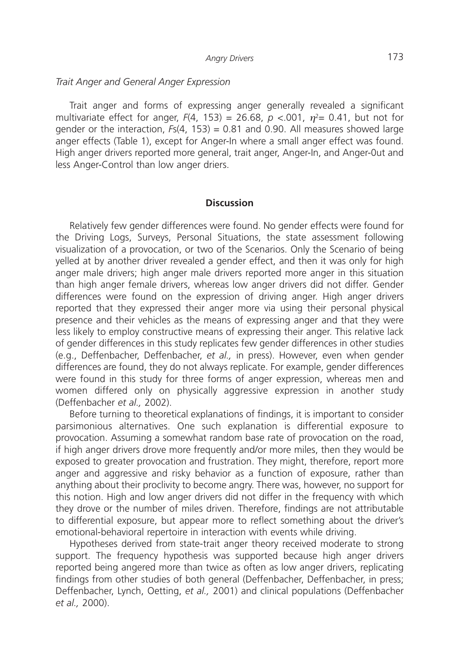#### *Trait Anger and General Anger Expression*

Trait anger and forms of expressing anger generally revealed a significant multivariate effect for anger,  $F(4, 153) = 26.68$ ,  $p < .001$ ,  $\eta^2 = 0.41$ , but not for gender or the interaction, *F*s(4, 153) = 0.81 and 0.90. All measures showed large anger effects (Table 1), except for Anger-In where a small anger effect was found. High anger drivers reported more general, trait anger, Anger-In, and Anger-0ut and less Anger-Control than low anger driers.

#### **Discussion**

Relatively few gender differences were found. No gender effects were found for the Driving Logs, Surveys, Personal Situations, the state assessment following visualization of a provocation, or two of the Scenarios. Only the Scenario of being yelled at by another driver revealed a gender effect, and then it was only for high anger male drivers; high anger male drivers reported more anger in this situation than high anger female drivers, whereas low anger drivers did not differ. Gender differences were found on the expression of driving anger. High anger drivers reported that they expressed their anger more via using their personal physical presence and their vehicles as the means of expressing anger and that they were less likely to employ constructive means of expressing their anger. This relative lack of gender differences in this study replicates few gender differences in other studies (e.g., Deffenbacher, Deffenbacher, *et al.,* in press). However, even when gender differences are found, they do not always replicate. For example, gender differences were found in this study for three forms of anger expression, whereas men and women differed only on physically aggressive expression in another study (Deffenbacher *et al.,* 2002).

Before turning to theoretical explanations of findings, it is important to consider parsimonious alternatives. One such explanation is differential exposure to provocation. Assuming a somewhat random base rate of provocation on the road, if high anger drivers drove more frequently and/or more miles, then they would be exposed to greater provocation and frustration. They might, therefore, report more anger and aggressive and risky behavior as a function of exposure, rather than anything about their proclivity to become angry. There was, however, no support for this notion. High and low anger drivers did not differ in the frequency with which they drove or the number of miles driven. Therefore, findings are not attributable to differential exposure, but appear more to reflect something about the driver's emotional-behavioral repertoire in interaction with events while driving.

Hypotheses derived from state-trait anger theory received moderate to strong support. The frequency hypothesis was supported because high anger drivers reported being angered more than twice as often as low anger drivers, replicating findings from other studies of both general (Deffenbacher, Deffenbacher, in press; Deffenbacher, Lynch, Oetting, *et al.,* 2001) and clinical populations (Deffenbacher *et al.,* 2000).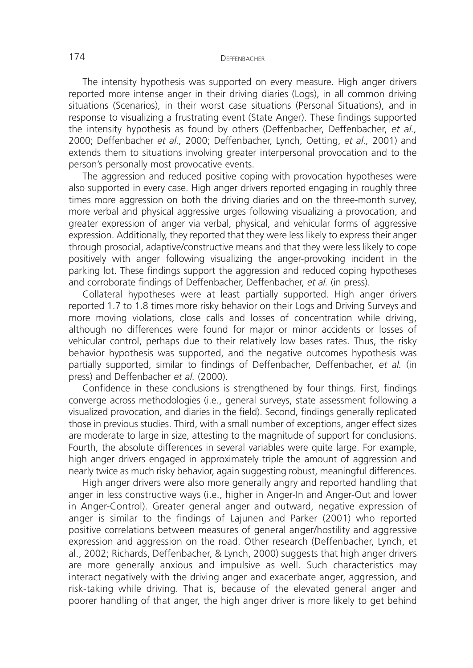The intensity hypothesis was supported on every measure. High anger drivers reported more intense anger in their driving diaries (Logs), in all common driving situations (Scenarios), in their worst case situations (Personal Situations), and in response to visualizing a frustrating event (State Anger). These findings supported the intensity hypothesis as found by others (Deffenbacher, Deffenbacher, *et al.,* 2000; Deffenbacher *et al.,* 2000; Deffenbacher, Lynch, Oetting, *et al.,* 2001) and extends them to situations involving greater interpersonal provocation and to the person's personally most provocative events.

The aggression and reduced positive coping with provocation hypotheses were also supported in every case. High anger drivers reported engaging in roughly three times more aggression on both the driving diaries and on the three-month survey, more verbal and physical aggressive urges following visualizing a provocation, and greater expression of anger via verbal, physical, and vehicular forms of aggressive expression. Additionally, they reported that they were less likely to express their anger through prosocial, adaptive/constructive means and that they were less likely to cope positively with anger following visualizing the anger-provoking incident in the parking lot. These findings support the aggression and reduced coping hypotheses and corroborate findings of Deffenbacher, Deffenbacher, *et al.* (in press).

Collateral hypotheses were at least partially supported. High anger drivers reported 1.7 to 1.8 times more risky behavior on their Logs and Driving Surveys and more moving violations, close calls and losses of concentration while driving, although no differences were found for major or minor accidents or losses of vehicular control, perhaps due to their relatively low bases rates. Thus, the risky behavior hypothesis was supported, and the negative outcomes hypothesis was partially supported, similar to findings of Deffenbacher, Deffenbacher, *et al.* (in press) and Deffenbacher *et al.* (2000).

Confidence in these conclusions is strengthened by four things. First, findings converge across methodologies (i.e., general surveys, state assessment following a visualized provocation, and diaries in the field). Second, findings generally replicated those in previous studies. Third, with a small number of exceptions, anger effect sizes are moderate to large in size, attesting to the magnitude of support for conclusions. Fourth, the absolute differences in several variables were quite large. For example, high anger drivers engaged in approximately triple the amount of aggression and nearly twice as much risky behavior, again suggesting robust, meaningful differences.

High anger drivers were also more generally angry and reported handling that anger in less constructive ways (i.e., higher in Anger-In and Anger-Out and lower in Anger-Control). Greater general anger and outward, negative expression of anger is similar to the findings of Lajunen and Parker (2001) who reported positive correlations between measures of general anger/hostility and aggressive expression and aggression on the road. Other research (Deffenbacher, Lynch, et al., 2002; Richards, Deffenbacher, & Lynch, 2000) suggests that high anger drivers are more generally anxious and impulsive as well. Such characteristics may interact negatively with the driving anger and exacerbate anger, aggression, and risk-taking while driving. That is, because of the elevated general anger and poorer handling of that anger, the high anger driver is more likely to get behind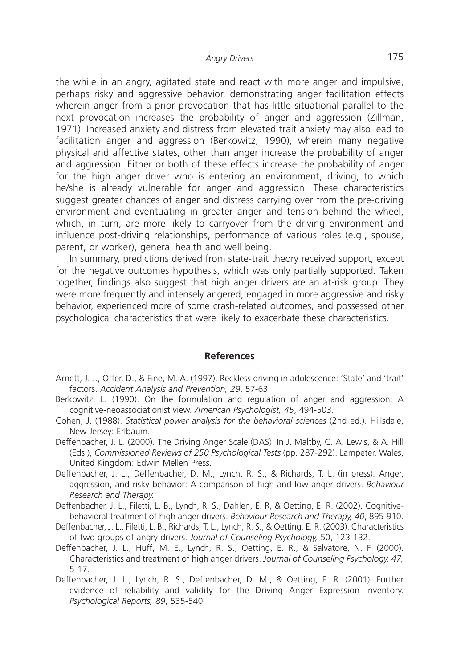the while in an angry, agitated state and react with more anger and impulsive, perhaps risky and aggressive behavior, demonstrating anger facilitation effects wherein anger from a prior provocation that has little situational parallel to the next provocation increases the probability of anger and aggression (Zillman, 1971). Increased anxiety and distress from elevated trait anxiety may also lead to facilitation anger and aggression (Berkowitz, 1990), wherein many negative physical and affective states, other than anger increase the probability of anger and aggression. Either or both of these effects increase the probability of anger for the high anger driver who is entering an environment, driving, to which he/she is already vulnerable for anger and aggression. These characteristics suggest greater chances of anger and distress carrying over from the pre-driving environment and eventuating in greater anger and tension behind the wheel, which, in turn, are more likely to carryover from the driving environment and influence post-driving relationships, performance of various roles (e.g., spouse, parent, or worker), general health and well being.

In summary, predictions derived from state-trait theory received support, except for the negative outcomes hypothesis, which was only partially supported. Taken together, findings also suggest that high anger drivers are an at-risk group. They were more frequently and intensely angered, engaged in more aggressive and risky behavior, experienced more of some crash-related outcomes, and possessed other psychological characteristics that were likely to exacerbate these characteristics.

#### **References**

- Arnett, J. J., Offer, D., & Fine, M. A. (1997). Reckless driving in adolescence: 'State' and 'trait' factors. *Accident Analysis and Prevention, 29*, 57-63.
- Berkowitz, L. (1990). On the formulation and regulation of anger and aggression: A cognitive-neoassociationist view. *American Psychologist, 45*, 494-503.
- Cohen, J. (1988). *Statistical power analysis for the behavioral sciences* (2nd ed.). Hillsdale, New Jersey: Erlbaum.
- Deffenbacher, J. L. (2000). The Driving Anger Scale (DAS). In J. Maltby, C. A. Lewis, & A. Hill (Eds.), *Commissioned Reviews of 250 Psychological Tests* (pp. 287-292). Lampeter, Wales, United Kingdom: Edwin Mellen Press.
- Deffenbacher, J. L., Deffenbacher, D. M., Lynch, R. S., & Richards, T. L. (in press). Anger, aggression, and risky behavior: A comparison of high and low anger drivers. *Behaviour Research and Therapy.*
- Deffenbacher, J. L., Filetti, L. B., Lynch, R. S., Dahlen, E. R, & Oetting, E. R. (2002). Cognitivebehavioral treatment of high anger drivers. *Behaviour Research and Therapy, 40*, 895-910.
- Deffenbacher, J. L., Filetti, L. B., Richards, T. L., Lynch, R. S., & Oetting, E. R. (2003). Characteristics of two groups of angry drivers. *Journal of Counseling Psychology,* 50, 123-132.
- Deffenbacher, J. L., Huff, M. E., Lynch, R. S., Oetting, E. R., & Salvatore, N. F. (2000). Characteristics and treatment of high anger drivers. *Journal of Counseling Psychology, 47,* 5-17.
- Deffenbacher, J. L., Lynch, R. S., Deffenbacher, D. M., & Oetting, E. R. (2001). Further evidence of reliability and validity for the Driving Anger Expression Inventory. *Psychological Reports, 89*, 535-540.